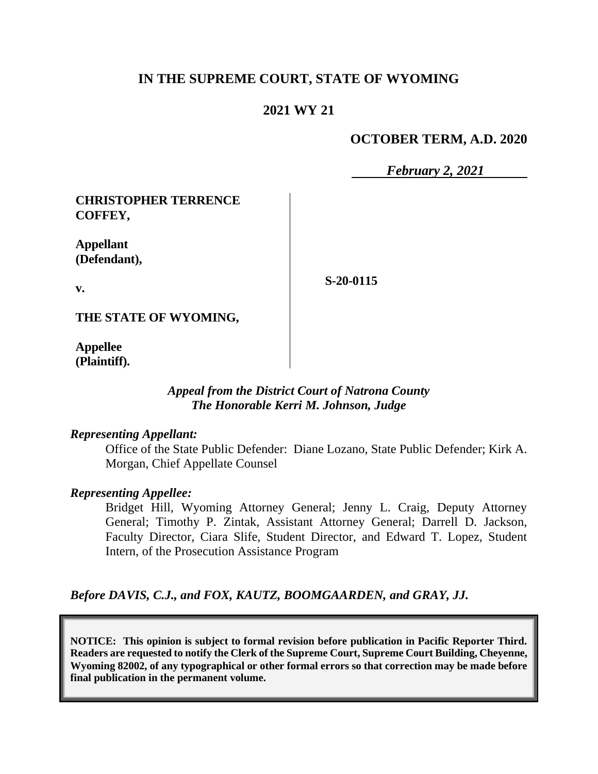# **IN THE SUPREME COURT, STATE OF WYOMING**

# **2021 WY 21**

### **OCTOBER TERM, A.D. 2020**

*February 2, 2021*

**CHRISTOPHER TERRENCE COFFEY,**

**Appellant (Defendant),**

**S-20-0115**

**THE STATE OF WYOMING,**

**Appellee (Plaintiff).**

**v.**

#### *Appeal from the District Court of Natrona County The Honorable Kerri M. Johnson, Judge*

#### *Representing Appellant:*

Office of the State Public Defender: Diane Lozano, State Public Defender; Kirk A. Morgan, Chief Appellate Counsel

#### *Representing Appellee:*

Bridget Hill, Wyoming Attorney General; Jenny L. Craig, Deputy Attorney General; Timothy P. Zintak, Assistant Attorney General; Darrell D. Jackson, Faculty Director, Ciara Slife, Student Director, and Edward T. Lopez, Student Intern, of the Prosecution Assistance Program

*Before DAVIS, C.J., and FOX, KAUTZ, BOOMGAARDEN, and GRAY, JJ.*

**NOTICE: This opinion is subject to formal revision before publication in Pacific Reporter Third. Readers are requested to notify the Clerk of the Supreme Court, Supreme Court Building, Cheyenne, Wyoming 82002, of any typographical or other formal errors so that correction may be made before final publication in the permanent volume.**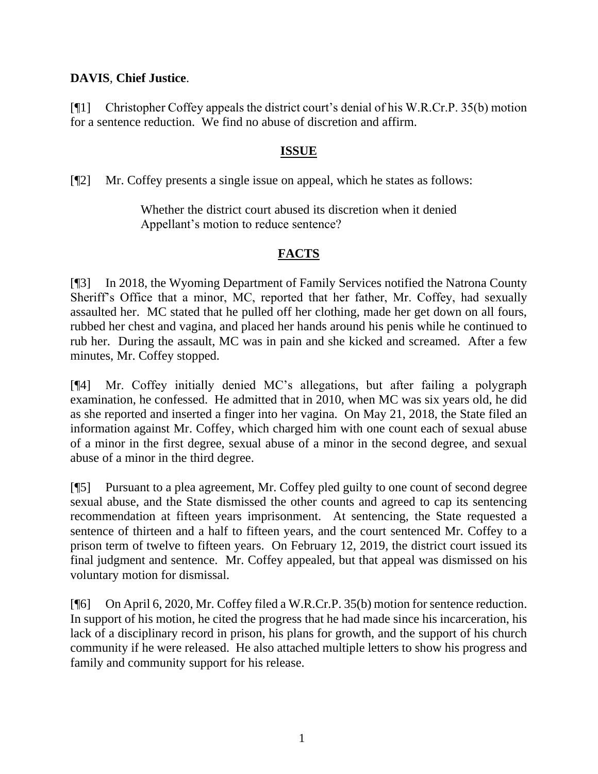# **DAVIS**, **Chief Justice**.

[¶1] Christopher Coffey appeals the district court's denial of his W.R.Cr.P. 35(b) motion for a sentence reduction. We find no abuse of discretion and affirm.

### **ISSUE**

[¶2] Mr. Coffey presents a single issue on appeal, which he states as follows:

Whether the district court abused its discretion when it denied Appellant's motion to reduce sentence?

# **FACTS**

[¶3] In 2018, the Wyoming Department of Family Services notified the Natrona County Sheriff's Office that a minor, MC, reported that her father, Mr. Coffey, had sexually assaulted her. MC stated that he pulled off her clothing, made her get down on all fours, rubbed her chest and vagina, and placed her hands around his penis while he continued to rub her. During the assault, MC was in pain and she kicked and screamed. After a few minutes, Mr. Coffey stopped.

[¶4] Mr. Coffey initially denied MC's allegations, but after failing a polygraph examination, he confessed. He admitted that in 2010, when MC was six years old, he did as she reported and inserted a finger into her vagina. On May 21, 2018, the State filed an information against Mr. Coffey, which charged him with one count each of sexual abuse of a minor in the first degree, sexual abuse of a minor in the second degree, and sexual abuse of a minor in the third degree.

[¶5] Pursuant to a plea agreement, Mr. Coffey pled guilty to one count of second degree sexual abuse, and the State dismissed the other counts and agreed to cap its sentencing recommendation at fifteen years imprisonment. At sentencing, the State requested a sentence of thirteen and a half to fifteen years, and the court sentenced Mr. Coffey to a prison term of twelve to fifteen years. On February 12, 2019, the district court issued its final judgment and sentence. Mr. Coffey appealed, but that appeal was dismissed on his voluntary motion for dismissal.

[¶6] On April 6, 2020, Mr. Coffey filed a W.R.Cr.P. 35(b) motion for sentence reduction. In support of his motion, he cited the progress that he had made since his incarceration, his lack of a disciplinary record in prison, his plans for growth, and the support of his church community if he were released. He also attached multiple letters to show his progress and family and community support for his release.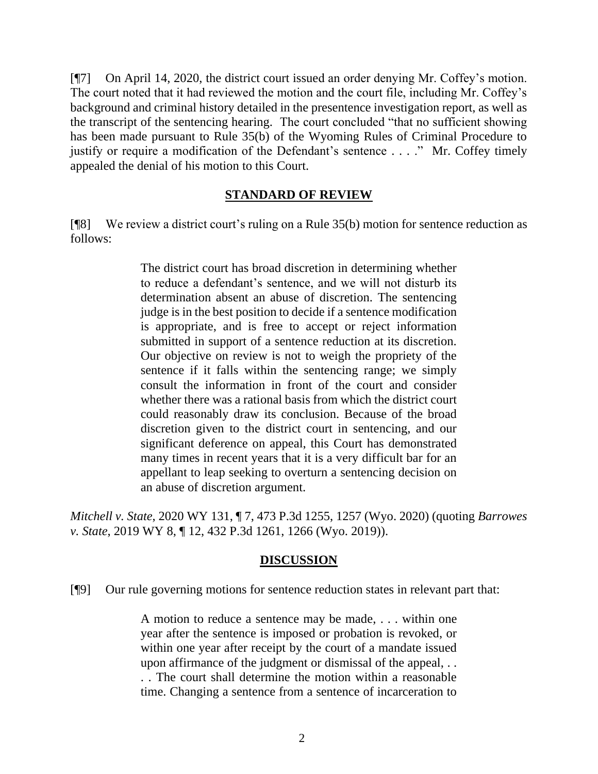[¶7] On April 14, 2020, the district court issued an order denying Mr. Coffey's motion. The court noted that it had reviewed the motion and the court file, including Mr. Coffey's background and criminal history detailed in the presentence investigation report, as well as the transcript of the sentencing hearing. The court concluded "that no sufficient showing has been made pursuant to Rule 35(b) of the Wyoming Rules of Criminal Procedure to justify or require a modification of the Defendant's sentence . . . ." Mr. Coffey timely appealed the denial of his motion to this Court.

#### **STANDARD OF REVIEW**

[¶8] We review a district court's ruling on a [Rule 35\(b\)](http://www.westlaw.com/Link/Document/FullText?findType=L&pubNum=1008764&cite=WYRRCRPR35&originatingDoc=Ie3f07e4008f911eb8cddf39cfa051b39&refType=LQ&originationContext=document&vr=3.0&rs=cblt1.0&transitionType=DocumentItem&contextData=(sc.Keycite)) motion for sentence reduction as follows:

> The district court has broad discretion in determining whether to reduce a defendant's sentence, and we will not disturb its determination absent an abuse of discretion. The sentencing judge is in the best position to decide if a sentence modification is appropriate, and is free to accept or reject information submitted in support of a sentence reduction at its discretion. Our objective on review is not to weigh the propriety of the sentence if it falls within the sentencing range; we simply consult the information in front of the court and consider whether there was a rational basis from which the district court could reasonably draw its conclusion. Because of the broad discretion given to the district court in sentencing, and our significant deference on appeal, this Court has demonstrated many times in recent years that it is a very difficult bar for an appellant to leap seeking to overturn a sentencing decision on an abuse of discretion argument.

*Mitchell v. State*, 2020 WY 131, ¶ 7, 473 P.3d 1255, 1257 (Wyo. 2020) (quoting *[Barrowes](http://www.westlaw.com/Link/Document/FullText?findType=Y&serNum=2047356627&pubNum=0004645&originatingDoc=Ie3f07e4008f911eb8cddf39cfa051b39&refType=RP&fi=co_pp_sp_4645_1266&originationContext=document&vr=3.0&rs=cblt1.0&transitionType=DocumentItem&contextData=(sc.Keycite)#co_pp_sp_4645_1266)  v. State*[, 2019 WY 8, ¶ 12, 432 P.3d 1261, 1266 \(Wyo. 2019\)\)](http://www.westlaw.com/Link/Document/FullText?findType=Y&serNum=2047356627&pubNum=0004645&originatingDoc=Ie3f07e4008f911eb8cddf39cfa051b39&refType=RP&fi=co_pp_sp_4645_1266&originationContext=document&vr=3.0&rs=cblt1.0&transitionType=DocumentItem&contextData=(sc.Keycite)#co_pp_sp_4645_1266).

#### **DISCUSSION**

[¶9] Our rule governing motions for sentence reduction states in relevant part that:

A motion to reduce a sentence may be made, . . . within one year after the sentence is imposed or probation is revoked, or within one year after receipt by the court of a mandate issued upon affirmance of the judgment or dismissal of the appeal, . . . . The court shall determine the motion within a reasonable time. Changing a sentence from a sentence of incarceration to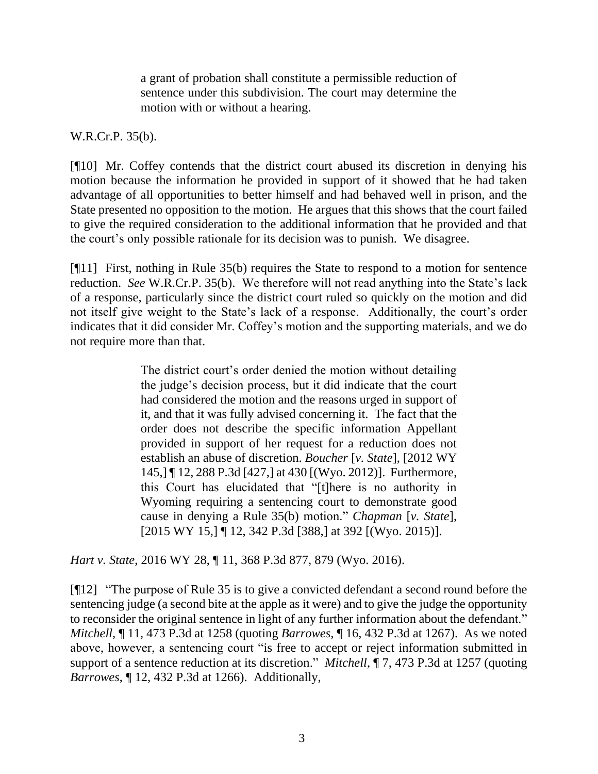a grant of probation shall constitute a permissible reduction of sentence under this subdivision. The court may determine the motion with or without a hearing.

#### W.R.Cr.P. 35(b).

[¶10] Mr. Coffey contends that the district court abused its discretion in denying his motion because the information he provided in support of it showed that he had taken advantage of all opportunities to better himself and had behaved well in prison, and the State presented no opposition to the motion. He argues that this shows that the court failed to give the required consideration to the additional information that he provided and that the court's only possible rationale for its decision was to punish. We disagree.

[¶11] First, nothing in Rule 35(b) requires the State to respond to a motion for sentence reduction. *See* W.R.Cr.P. 35(b). We therefore will not read anything into the State's lack of a response, particularly since the district court ruled so quickly on the motion and did not itself give weight to the State's lack of a response. Additionally, the court's order indicates that it did consider Mr. Coffey's motion and the supporting materials, and we do not require more than that.

> The district court's order denied the motion without detailing the judge's decision process, but it did indicate that the court had considered the motion and the reasons urged in support of it, and that it was fully advised concerning it. The fact that the order does not describe the specific information Appellant provided in support of her request for a reduction does not establish an abuse of discretion. *Boucher* [*v. State*], [\[2012 WY](http://www.westlaw.com/Link/Document/FullText?findType=Y&serNum=2029240096&pubNum=0004645&originatingDoc=If88589c0e11211e590d4edf60ce7d742&refType=RP&fi=co_pp_sp_4645_430&originationContext=document&vr=3.0&rs=cblt1.0&transitionType=DocumentItem&contextData=(sc.UserEnteredCitation)#co_pp_sp_4645_430)  145,] [¶ 12, 288 P.3d](http://www.westlaw.com/Link/Document/FullText?findType=Y&serNum=2029240096&pubNum=0004645&originatingDoc=If88589c0e11211e590d4edf60ce7d742&refType=RP&fi=co_pp_sp_4645_430&originationContext=document&vr=3.0&rs=cblt1.0&transitionType=DocumentItem&contextData=(sc.UserEnteredCitation)#co_pp_sp_4645_430) [427,] at 430 [(Wyo. 2012)]. Furthermore, this Court has elucidated that "[t]here is no authority in Wyoming requiring a sentencing court to demonstrate good cause in denying a [Rule 35\(b\)](http://www.westlaw.com/Link/Document/FullText?findType=L&pubNum=1008764&cite=WYRRCRPR35&originatingDoc=If88589c0e11211e590d4edf60ce7d742&refType=LQ&originationContext=document&vr=3.0&rs=cblt1.0&transitionType=DocumentItem&contextData=(sc.UserEnteredCitation)) motion." *[Chapman](http://www.westlaw.com/Link/Document/FullText?findType=Y&serNum=2035374333&pubNum=0004645&originatingDoc=If88589c0e11211e590d4edf60ce7d742&refType=RP&fi=co_pp_sp_4645_392&originationContext=document&vr=3.0&rs=cblt1.0&transitionType=DocumentItem&contextData=(sc.UserEnteredCitation)#co_pp_sp_4645_392)* [*v. State*], [\[2015 WY 15,\]](http://www.westlaw.com/Link/Document/FullText?findType=Y&serNum=2035374333&pubNum=0004645&originatingDoc=If88589c0e11211e590d4edf60ce7d742&refType=RP&fi=co_pp_sp_4645_392&originationContext=document&vr=3.0&rs=cblt1.0&transitionType=DocumentItem&contextData=(sc.UserEnteredCitation)#co_pp_sp_4645_392) ¶ 12, 342 P.3d [388,] at 392 [(Wyo. 2015)].

*Hart v. State*, 2016 WY 28, ¶ 11, 368 P.3d 877, 879 (Wyo. 2016).

[¶12] "The purpose of [Rule 35](http://www.westlaw.com/Link/Document/FullText?findType=L&pubNum=1008764&cite=WYRRCRPR35&originatingDoc=Ie3f07e4008f911eb8cddf39cfa051b39&refType=LQ&originationContext=document&vr=3.0&rs=cblt1.0&transitionType=DocumentItem&contextData=(sc.Keycite)) is to give a convicted defendant a second round before the sentencing judge (a second bite at the apple as it were) and to give the judge the opportunity to reconsider the original sentence in light of any further information about the defendant." *Mitchell*, ¶ 11, 473 P.3d at 1258 (quoting *Barrowes*[, ¶ 16, 432 P.3d at 1267\)](http://www.westlaw.com/Link/Document/FullText?findType=Y&serNum=2047356627&pubNum=0004645&originatingDoc=Ie3f07e4008f911eb8cddf39cfa051b39&refType=RP&fi=co_pp_sp_4645_1267&originationContext=document&vr=3.0&rs=cblt1.0&transitionType=DocumentItem&contextData=(sc.Keycite)#co_pp_sp_4645_1267). As we noted above, however, a sentencing court "is free to accept or reject information submitted in support of a sentence reduction at its discretion." *Mitchell*, ¶ 7, 473 P.3d at 1257 (quoting *Barrowes*[, ¶ 12, 432 P.3d at](http://www.westlaw.com/Link/Document/FullText?findType=Y&serNum=2047356627&pubNum=0004645&originatingDoc=Ie3f07e4008f911eb8cddf39cfa051b39&refType=RP&fi=co_pp_sp_4645_1266&originationContext=document&vr=3.0&rs=cblt1.0&transitionType=DocumentItem&contextData=(sc.Keycite)#co_pp_sp_4645_1266) 1266). Additionally,